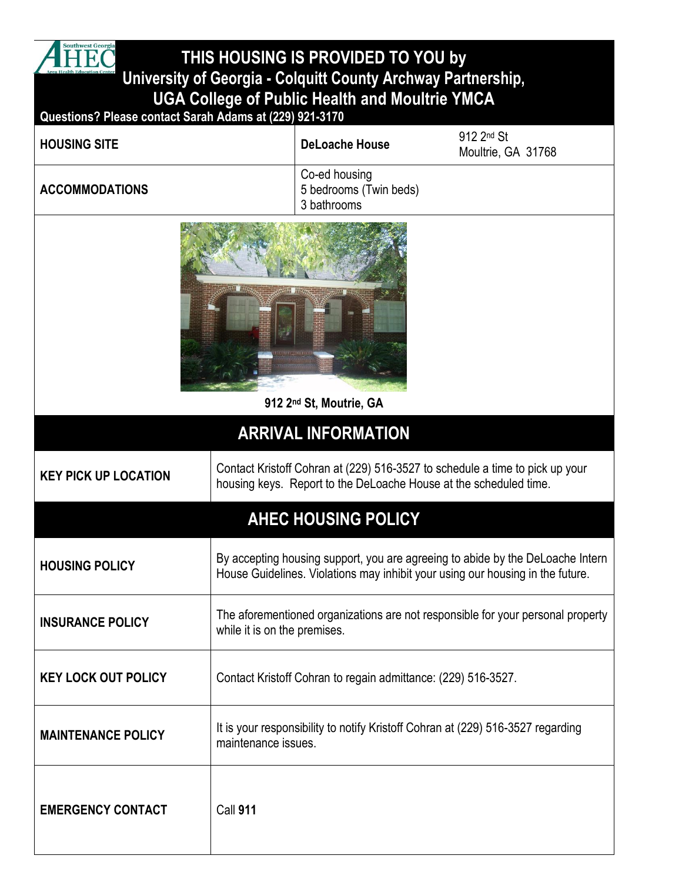| <b>Southwest Georgia</b><br>THIS HOUSING IS PROVIDED TO YOU by<br>University of Georgia - Colquitt County Archway Partnership,<br><b>UGA College of Public Health and Moultrie YMCA</b><br>Questions? Please contact Sarah Adams at (229) 921-3170 |                              |                                                                                                                                                                  |                                                                                                                                                   |  |
|----------------------------------------------------------------------------------------------------------------------------------------------------------------------------------------------------------------------------------------------------|------------------------------|------------------------------------------------------------------------------------------------------------------------------------------------------------------|---------------------------------------------------------------------------------------------------------------------------------------------------|--|
| <b>HOUSING SITE</b>                                                                                                                                                                                                                                |                              | <b>DeLoache House</b>                                                                                                                                            | 912 2nd St<br>Moultrie, GA 31768                                                                                                                  |  |
| <b>ACCOMMODATIONS</b>                                                                                                                                                                                                                              |                              | Co-ed housing<br>5 bedrooms (Twin beds)<br>3 bathrooms                                                                                                           |                                                                                                                                                   |  |
| 912 2nd St, Moutrie, GA                                                                                                                                                                                                                            |                              |                                                                                                                                                                  |                                                                                                                                                   |  |
| <b>ARRIVAL INFORMATION</b>                                                                                                                                                                                                                         |                              |                                                                                                                                                                  |                                                                                                                                                   |  |
| <b>KEY PICK UP LOCATION</b>                                                                                                                                                                                                                        |                              |                                                                                                                                                                  | Contact Kristoff Cohran at (229) 516-3527 to schedule a time to pick up your<br>housing keys. Report to the DeLoache House at the scheduled time. |  |
| <b>AHEC HOUSING POLICY</b>                                                                                                                                                                                                                         |                              |                                                                                                                                                                  |                                                                                                                                                   |  |
| <b>HOUSING POLICY</b>                                                                                                                                                                                                                              |                              | By accepting housing support, you are agreeing to abide by the DeLoache Intern<br>House Guidelines. Violations may inhibit your using our housing in the future. |                                                                                                                                                   |  |
| <b>INSURANCE POLICY</b>                                                                                                                                                                                                                            | while it is on the premises. |                                                                                                                                                                  | The aforementioned organizations are not responsible for your personal property                                                                   |  |
| <b>KEY LOCK OUT POLICY</b>                                                                                                                                                                                                                         |                              | Contact Kristoff Cohran to regain admittance: (229) 516-3527.                                                                                                    |                                                                                                                                                   |  |
| <b>MAINTENANCE POLICY</b>                                                                                                                                                                                                                          | maintenance issues.          |                                                                                                                                                                  | It is your responsibility to notify Kristoff Cohran at (229) 516-3527 regarding                                                                   |  |
| <b>EMERGENCY CONTACT</b>                                                                                                                                                                                                                           | Call 911                     |                                                                                                                                                                  |                                                                                                                                                   |  |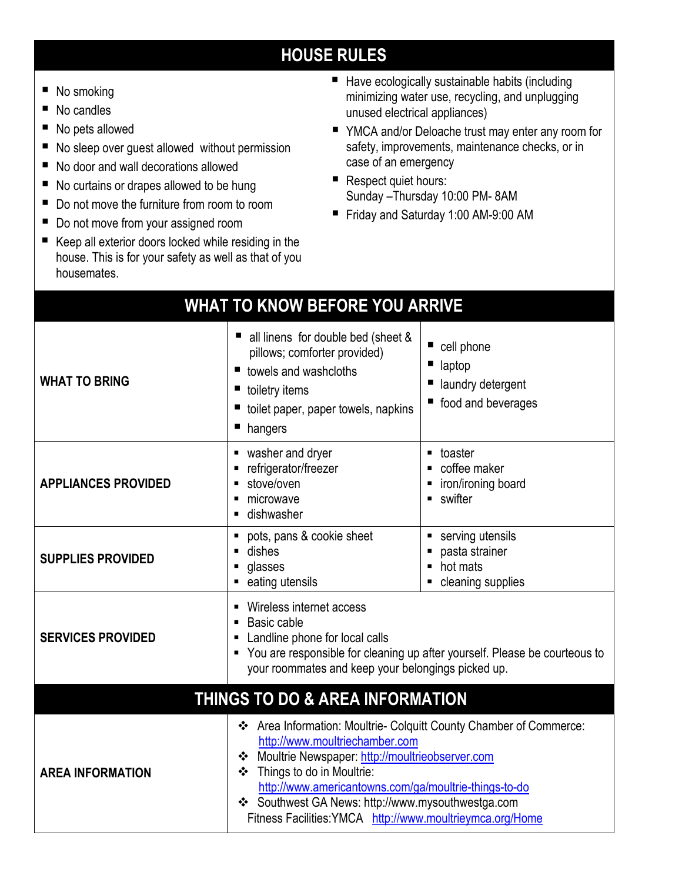## **HOUSE RULES**

- No smoking
- No candles
- No pets allowed
- No sleep over guest allowed without permission
- No door and wall decorations allowed
- No curtains or drapes allowed to be hung
- Do not move the furniture from room to room
- Do not move from your assigned room
- Keep all exterior doors locked while residing in the house. This is for your safety as well as that of you housemates.
- $\blacksquare$  Have ecologically sustainable habits (including minimizing water use, recycling, and unplugging unused electrical appliances)
- YMCA and/or Deloache trust may enter any room for safety, improvements, maintenance checks, or in case of an emergency
- Respect quiet hours: Sunday –Thursday 10:00 PM- 8AM
- Fiday and Saturday 1:00 AM-9:00 AM

| <b>WHAT TO KNOW BEFORE YOU ARRIVE</b> |                                                                                                                                                                                                                                                                                                                                                                   |                                                                                         |  |
|---------------------------------------|-------------------------------------------------------------------------------------------------------------------------------------------------------------------------------------------------------------------------------------------------------------------------------------------------------------------------------------------------------------------|-----------------------------------------------------------------------------------------|--|
| <b>WHAT TO BRING</b>                  | all linens for double bed (sheet &<br>pillows; comforter provided)<br>towels and washcloths<br>■ toiletry items<br>■ toilet paper, paper towels, napkins<br>hangers                                                                                                                                                                                               | cell phone<br>laptop<br>laundry detergent<br>■ food and beverages                       |  |
| <b>APPLIANCES PROVIDED</b>            | ■ washer and dryer<br>refrigerator/freezer<br>stove/oven<br>microwave<br>dishwasher                                                                                                                                                                                                                                                                               | • toaster<br>coffee maker<br>iron/ironing board<br>п<br>swifter                         |  |
| <b>SUPPLIES PROVIDED</b>              | pots, pans & cookie sheet<br>$\blacksquare$ dishes<br>glasses<br>eating utensils                                                                                                                                                                                                                                                                                  | ■ serving utensils<br>pasta strainer<br>hot mats<br>$\blacksquare$<br>cleaning supplies |  |
| <b>SERVICES PROVIDED</b>              | ■ Wireless internet access<br>Basic cable<br>• Landline phone for local calls<br>• You are responsible for cleaning up after yourself. Please be courteous to<br>your roommates and keep your belongings picked up.                                                                                                                                               |                                                                                         |  |
| THINGS TO DO & AREA INFORMATION       |                                                                                                                                                                                                                                                                                                                                                                   |                                                                                         |  |
| <b>AREA INFORMATION</b>               | ❖ Area Information: Moultrie- Colquitt County Chamber of Commerce:<br>http://www.moultriechamber.com<br>Moultrie Newspaper: http://moultrieobserver.com<br>❖ Things to do in Moultrie:<br>http://www.americantowns.com/ga/moultrie-things-to-do<br>❖ Southwest GA News: http://www.mysouthwestga.com<br>Fitness Facilities: YMCA http://www.moultrieymca.org/Home |                                                                                         |  |